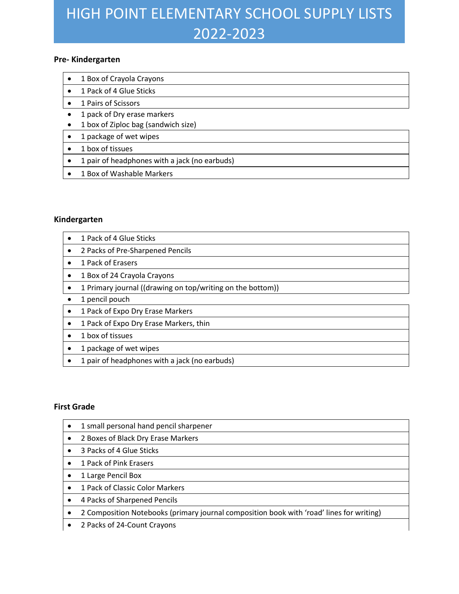# HIGH POINT ELEMENTARY SCHOOL SUPPLY LISTS 2022-2023

### **Pre- Kindergarten**

- 1 Box of Crayola Crayons
- 1 Pack of 4 Glue Sticks
- 1 Pairs of Scissors
- 1 pack of Dry erase markers
- 1 box of Ziploc bag (sandwich size)
- 1 package of wet wipes
- 1 box of tissues
- 1 pair of headphones with a jack (no earbuds)
- 1 Box of Washable Markers

### **Kindergarten**

- 1 Pack of 4 Glue Sticks
- 2 Packs of Pre-Sharpened Pencils
- 1 Pack of Erasers
- 1 Box of 24 Crayola Crayons
- 1 Primary journal ((drawing on top/writing on the bottom))
- 1 pencil pouch
- 1 Pack of Expo Dry Erase Markers
- 1 Pack of Expo Dry Erase Markers, thin
- 1 box of tissues
- 1 package of wet wipes
- 1 pair of headphones with a jack (no earbuds)

#### **First Grade**

• 1 small personal hand pencil sharpener • 2 Boxes of Black Dry Erase Markers • 3 Packs of 4 Glue Sticks • 1 Pack of Pink Erasers • 1 Large Pencil Box • 1 Pack of Classic Color Markers • 4 Packs of Sharpened Pencils • 2 Composition Notebooks (primary journal composition book with 'road' lines for writing) • 2 Packs of 24-Count Crayons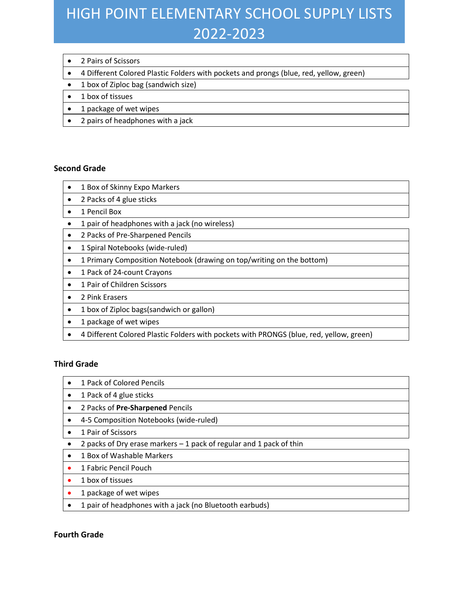# HIGH POINT ELEMENTARY SCHOOL SUPPLY LISTS 2022-2023

- 2 Pairs of Scissors
- 4 Different Colored Plastic Folders with pockets and prongs (blue, red, yellow, green)
- 1 box of Ziploc bag (sandwich size)
- 1 box of tissues
- 1 package of wet wipes
- 2 pairs of headphones with a jack

#### **Second Grade**

- 1 Box of Skinny Expo Markers
- 2 Packs of 4 glue sticks
- 1 Pencil Box
- 1 pair of headphones with a jack (no wireless)
- 2 Packs of Pre-Sharpened Pencils
- 1 Spiral Notebooks (wide-ruled)
- 1 Primary Composition Notebook (drawing on top/writing on the bottom)
- 1 Pack of 24-count Crayons
- 1 Pair of Children Scissors
- 2 Pink Erasers
- 1 box of Ziploc bags(sandwich or gallon)
- 1 package of wet wipes
- 4 Different Colored Plastic Folders with pockets with PRONGS (blue, red, yellow, green)

# **Third Grade**

- 1 Pack of Colored Pencils
- 1 Pack of 4 glue sticks
- 2 Packs of **Pre-Sharpened** Pencils
- 4-5 Composition Notebooks (wide-ruled)
- 1 Pair of Scissors
- 2 packs of Dry erase markers 1 pack of regular and 1 pack of thin
- 1 Box of Washable Markers
- 1 Fabric Pencil Pouch
- 1 box of tissues
- 1 package of wet wipes
- 1 pair of headphones with a jack (no Bluetooth earbuds)

#### **Fourth Grade**